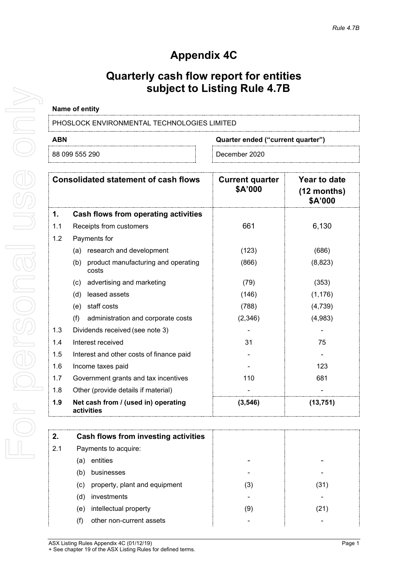# **Appendix 4C**

## **Quarterly cash flow report for entities subject to Listing Rule 4.7B**

### **Name of entity**

PHOSLOCK ENVIRONMENTAL TECHNOLOGIES LIMITED

**ABN Quarter ended ("current quarter")**

| .                 | ___________________________ |
|-------------------|-----------------------------|
| 290<br>88 099 555 | December 2020               |
|                   |                             |

| <b>Consolidated statement of cash flows</b> |                                                     | <b>Current quarter</b><br>\$A'000 | Year to date<br>$(12$ months)<br>\$A'000 |
|---------------------------------------------|-----------------------------------------------------|-----------------------------------|------------------------------------------|
| 1.                                          | Cash flows from operating activities                |                                   |                                          |
| 1.1                                         | Receipts from customers                             | 661                               | 6,130                                    |
| 1.2                                         | Payments for                                        |                                   |                                          |
|                                             | research and development<br>(a)                     | (123)                             | (686)                                    |
|                                             | product manufacturing and operating<br>(b)<br>costs | (866)                             | (8,823)                                  |
|                                             | advertising and marketing<br>(c)                    | (79)                              | (353)                                    |
|                                             | leased assets<br>(d)                                | (146)                             | (1, 176)                                 |
|                                             | staff costs<br>(e)                                  | (788)                             | (4,739)                                  |
|                                             | (f)<br>administration and corporate costs           | (2,346)                           | (4,983)                                  |
| 1.3                                         | Dividends received (see note 3)                     |                                   |                                          |
| 1.4                                         | Interest received                                   | 31                                | 75                                       |
| 1.5                                         | Interest and other costs of finance paid            |                                   |                                          |
| 1.6                                         | Income taxes paid                                   |                                   | 123                                      |
| 1.7                                         | Government grants and tax incentives                | 110                               | 681                                      |
| 1.8                                         | Other (provide details if material)                 |                                   |                                          |
| 1.9                                         | Net cash from / (used in) operating<br>activities   | (3, 546)                          | (13,751)                                 |

| 2.  | Cash flows from investing activities |     |      |
|-----|--------------------------------------|-----|------|
| 2.1 | Payments to acquire:                 |     |      |
| (a) | entities                             |     |      |
| (b) | businesses                           |     |      |
| (c) | property, plant and equipment        | (3) | (31) |
| (d) | investments                          |     |      |
| (e) | intellectual property                | (9) | .21) |
| (†) | other non-current assets             |     |      |

ASX Listing Rules Appendix 4C (01/12/19) **Page 1** + See chapter 19 of the ASX Listing Rules for defined terms.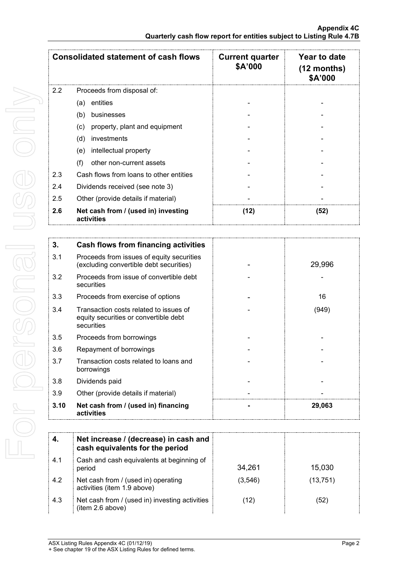| <b>Consolidated statement of cash flows</b> |                                                   | <b>Current quarter</b><br>\$A'000 | Year to date<br>$(12$ months)<br><b>\$A'000</b> |
|---------------------------------------------|---------------------------------------------------|-----------------------------------|-------------------------------------------------|
| $2.2^{\circ}$                               | Proceeds from disposal of:                        |                                   |                                                 |
|                                             | entities<br>(a)                                   |                                   |                                                 |
|                                             | (b)<br>businesses                                 |                                   |                                                 |
|                                             | property, plant and equipment<br>(c)              |                                   |                                                 |
|                                             | (d)<br>investments                                |                                   |                                                 |
|                                             | intellectual property<br>(e)                      |                                   |                                                 |
|                                             | (f)<br>other non-current assets                   |                                   |                                                 |
| 2.3                                         | Cash flows from loans to other entities           |                                   |                                                 |
| 2.4                                         | Dividends received (see note 3)                   |                                   |                                                 |
| 2.5                                         | Other (provide details if material)               |                                   |                                                 |
| 2.6                                         | Net cash from / (used in) investing<br>activities | (12)                              | (52)                                            |

| 3.   | Cash flows from financing activities                                                          |        |
|------|-----------------------------------------------------------------------------------------------|--------|
| 3.1  | Proceeds from issues of equity securities<br>(excluding convertible debt securities)          | 29,996 |
| 3.2  | Proceeds from issue of convertible debt<br>securities                                         |        |
| 3.3  | Proceeds from exercise of options                                                             | 16     |
| 3.4  | Transaction costs related to issues of<br>equity securities or convertible debt<br>securities | (949)  |
| 3.5  | Proceeds from borrowings                                                                      |        |
| 3.6  | Repayment of borrowings                                                                       |        |
| 3.7  | Transaction costs related to loans and<br>borrowings                                          |        |
| 3.8  | Dividends paid                                                                                |        |
| 3.9  | Other (provide details if material)                                                           |        |
| 3.10 | Net cash from / (used in) financing<br>activities                                             | 29,063 |

|     | Net increase / (decrease) in cash and<br>cash equivalents for the period |         |           |
|-----|--------------------------------------------------------------------------|---------|-----------|
| 4.1 | Cash and cash equivalents at beginning of<br>period                      | 34,261  | 15,030    |
| 4.2 | Net cash from / (used in) operating<br>activities (item 1.9 above)       | (3,546) | (13, 751) |
| 4.3 | Net cash from / (used in) investing activities<br>(item 2.6 above)       | (12)    | (52)      |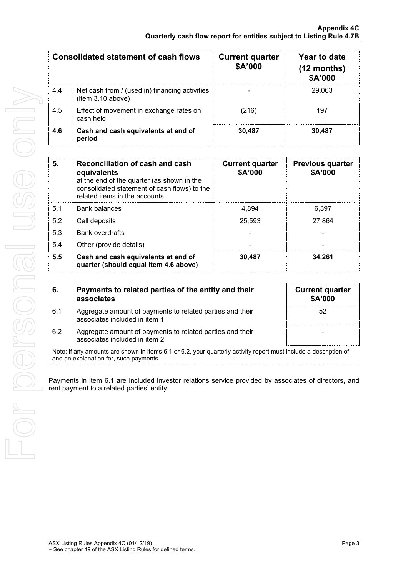|     | <b>Consolidated statement of cash flows</b>                         | <b>Current quarter</b><br>\$A'000 | Year to date<br>$(12$ months)<br>\$A'000 |
|-----|---------------------------------------------------------------------|-----------------------------------|------------------------------------------|
| 4.4 | Net cash from / (used in) financing activities<br>(item 3.10 above) |                                   | 29,063                                   |
| 4.5 | Effect of movement in exchange rates on<br>cash held                | (216)                             | 197                                      |
| 4.6 | Cash and cash equivalents at end of<br>period                       | 30,487                            | 30.487                                   |

| 5.  | Reconciliation of cash and cash<br>equivalents<br>at the end of the quarter (as shown in the<br>consolidated statement of cash flows) to the<br>related items in the accounts | <b>Current quarter</b><br>\$A'000 | <b>Previous quarter</b><br>\$A'000 |
|-----|-------------------------------------------------------------------------------------------------------------------------------------------------------------------------------|-----------------------------------|------------------------------------|
| 5.1 | Bank balances                                                                                                                                                                 | 4.894                             | 6,397                              |
| 5.2 | Call deposits                                                                                                                                                                 | 25,593                            | 27,864                             |
| 5.3 | <b>Bank overdrafts</b>                                                                                                                                                        |                                   |                                    |
| 5.4 | Other (provide details)                                                                                                                                                       |                                   |                                    |
| 5.5 | Cash and cash equivalents at end of<br>quarter (should equal item 4.6 above)                                                                                                  | 30,487                            | 34,261                             |

**6. Payments to related parties of the entity and their associates**

6.1 Aggregate amount of payments to related parties and their

associates included in item 1

| <b>Current quarter</b><br>\$A'000 |  |
|-----------------------------------|--|
| 52                                |  |
|                                   |  |

6.2 Aggregate amount of payments to related parties and their associates included in item 2

Note: if any amounts are shown in items 6.1 or 6.2, your quarterly activity report must include a description of, and an explanation for, such payments

Payments in item 6.1 are included investor relations service provided by associates of directors, and rent payment to a related parties' entity.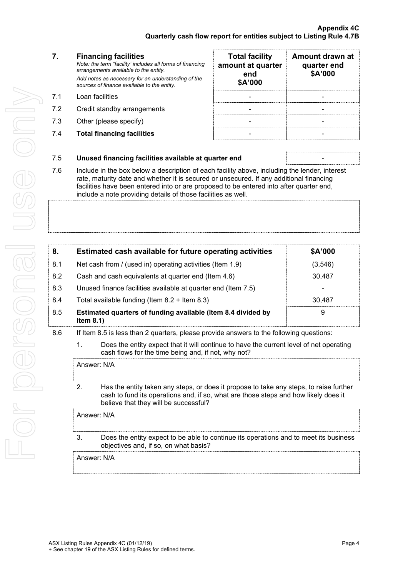For personal use only For personal use ond

### **7. Financing facilities**

*Note: the term "facility' includes all forms of financing arrangements available to the entity. Add notes as necessary for an understanding of the sources of finance available to the entity.*

- 7.1 Loan facilities
- 7.2 Credit standby arrangements
- 7.3 Other (please specify)
- 7.4 **Total financing facilities** -

| <b>Total facility</b><br>amount at quarter<br>end<br>\$A'000 | Amount drawn at<br>quarter end<br>\$A'000 |
|--------------------------------------------------------------|-------------------------------------------|
|                                                              |                                           |
|                                                              |                                           |
|                                                              |                                           |
|                                                              |                                           |

### 7.5 **Unused financing facilities available at quarter end** -

7.6 Include in the box below a description of each facility above, including the lender, interest rate, maturity date and whether it is secured or unsecured. If any additional financing facilities have been entered into or are proposed to be entered into after quarter end, include a note providing details of those facilities as well.

|     | Estimated cash available for future operating activities                     | \$A'000 |
|-----|------------------------------------------------------------------------------|---------|
| 8.1 | Net cash from / (used in) operating activities (Item 1.9)                    | 3,546   |
| 8.2 | Cash and cash equivalents at quarter end (Item 4.6)                          | 30,487  |
| 8.3 | Unused finance facilities available at quarter end (Item 7.5)                |         |
| 8.4 | Total available funding (Item $8.2 +$ Item $8.3$ )                           | 30.487  |
| 8.5 | Estimated quarters of funding available (Item 8.4 divided by<br>Item $8.1$ ) | 9       |

- 8.6 If Item 8.5 is less than 2 quarters, please provide answers to the following questions:
	- 1. Does the entity expect that it will continue to have the current level of net operating cash flows for the time being and, if not, why not?

Answer: N/A

2. Has the entity taken any steps, or does it propose to take any steps, to raise further cash to fund its operations and, if so, what are those steps and how likely does it believe that they will be successful?

Answer: N/A

3. Does the entity expect to be able to continue its operations and to meet its business objectives and, if so, on what basis?

Answer: N/A